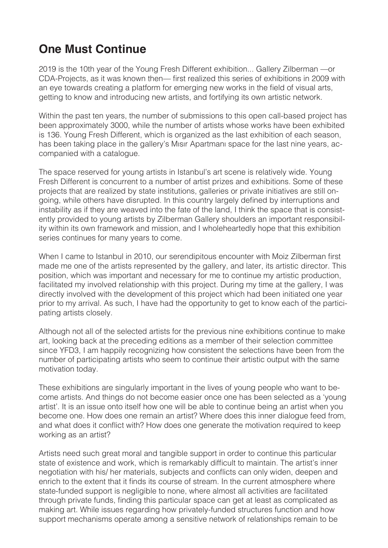## **One Must Continue**

2019 is the 10th year of the Young Fresh Different exhibition... Gallery Zilberman —or CDA-Projects, as it was known then— first realized this series of exhibitions in 2009 with an eye towards creating a platform for emerging new works in the field of visual arts, getting to know and introducing new artists, and fortifying its own artistic network.

Within the past ten years, the number of submissions to this open call-based project has been approximately 3000, while the number of artists whose works have been exhibited is 136. Young Fresh Different, which is organized as the last exhibition of each season, has been taking place in the gallery's Mısır Apartmanı space for the last nine years, accompanied with a catalogue.

The space reserved for young artists in Istanbul's art scene is relatively wide. Young Fresh Different is concurrent to a number of artist prizes and exhibitions. Some of these projects that are realized by state institutions, galleries or private initiatives are still ongoing, while others have disrupted. In this country largely defined by interruptions and instability as if they are weaved into the fate of the land, I think the space that is consistently provided to young artists by Zilberman Gallery shoulders an important responsibility within its own framework and mission, and I wholeheartedly hope that this exhibition series continues for many years to come.

When I came to Istanbul in 2010, our serendipitous encounter with Moiz Zilberman first made me one of the artists represented by the gallery, and later, its artistic director. This position, which was important and necessary for me to continue my artistic production, facilitated my involved relationship with this project. During my time at the gallery, I was directly involved with the development of this project which had been initiated one year prior to my arrival. As such, I have had the opportunity to get to know each of the participating artists closely.

Although not all of the selected artists for the previous nine exhibitions continue to make art, looking back at the preceding editions as a member of their selection committee since YFD3, I am happily recognizing how consistent the selections have been from the number of participating artists who seem to continue their artistic output with the same motivation today.

These exhibitions are singularly important in the lives of young people who want to become artists. And things do not become easier once one has been selected as a 'young artist'. It is an issue onto itself how one will be able to continue being an artist when you become one. How does one remain an artist? Where does this inner dialogue feed from, and what does it conflict with? How does one generate the motivation required to keep working as an artist?

Artists need such great moral and tangible support in order to continue this particular state of existence and work, which is remarkably difficult to maintain. The artist's inner negotiation with his/ her materials, subjects and conflicts can only widen, deepen and enrich to the extent that it finds its course of stream. In the current atmosphere where state-funded support is negligible to none, where almost all activities are facilitated through private funds, finding this particular space can get at least as complicated as making art. While issues regarding how privately-funded structures function and how support mechanisms operate among a sensitive network of relationships remain to be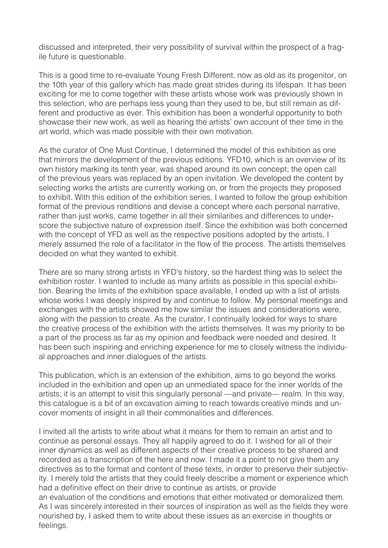discussed and interpreted, their very possibility of survival within the prospect of a fragile future is questionable.

This is a good time to re-evaluate Young Fresh Different, now as old as its progenitor, on the 10th year of this gallery which has made great strides during its lifespan. It has been exciting for me to come together with these artists whose work was previously shown in this selection, who are perhaps less young than they used to be, but still remain as different and productive as ever. This exhibition has been a wonderful opportunity to both showcase their new work, as well as hearing the artists' own account of their time in the art world, which was made possible with their own motivation.

As the curator of One Must Continue, I determined the model of this exhibition as one that mirrors the development of the previous editions. YFD10, which is an overview of its own history marking its tenth year, was shaped around its own concept; the open call of the previous years was replaced by an open invitation. We developed the content by selecting works the artists are currently working on, or from the projects they proposed to exhibit. With this edition of the exhibition series, I wanted to follow the group exhibition format of the previous renditions and devise a concept where each personal narrative, rather than just works, came together in all their similarities and differences to underscore the subjective nature of expression itself. Since the exhibition was both concerned with the concept of YFD as well as the respective positions adopted by the artists, I merely assumed the role of a facilitator in the flow of the process. The artists themselves decided on what they wanted to exhibit.

There are so many strong artists in YFD's history, so the hardest thing was to select the exhibition roster. I wanted to include as many artists as possible in this special exhibition. Bearing the limits of the exhibition space available, I ended up with a list of artists whose works I was deeply inspired by and continue to follow. My personal meetings and exchanges with the artists showed me how similar the issues and considerations were, along with the passion to create. As the curator, I continually looked for ways to share the creative process of the exhibition with the artists themselves. It was my priority to be a part of the process as far as my opinion and feedback were needed and desired. It has been such inspiring and enriching experience for me to closely witness the individual approaches and inner dialogues of the artists.

This publication, which is an extension of the exhibition, aims to go beyond the works included in the exhibition and open up an unmediated space for the inner worlds of the artists; it is an attempt to visit this singularly personal —and private— realm. In this way, this catalogue is a bit of an excavation aiming to reach towards creative minds and uncover moments of insight in all their commonalities and differences.

I invited all the artists to write about what it means for them to remain an artist and to continue as personal essays. They all happily agreed to do it. I wished for all of their inner dynamics as well as different aspects of their creative process to be shared and recorded as a transcription of the here and now. I made it a point to not give them any directives as to the format and content of these texts, in order to preserve their subjectivity. I merely told the artists that they could freely describe a moment or experience which had a definitive effect on their drive to continue as artists, or provide an evaluation of the conditions and emotions that either motivated or demoralized them.

As I was sincerely interested in their sources of inspiration as well as the fields they were nourished by, I asked them to write about these issues as an exercise in thoughts or feelings.